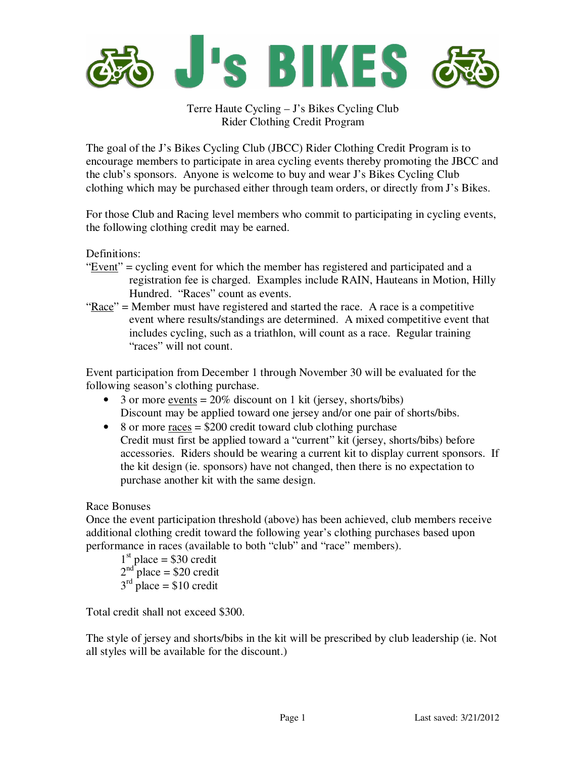

Terre Haute Cycling – J's Bikes Cycling Club Rider Clothing Credit Program

The goal of the J's Bikes Cycling Club (JBCC) Rider Clothing Credit Program is to encourage members to participate in area cycling events thereby promoting the JBCC and the club's sponsors. Anyone is welcome to buy and wear J's Bikes Cycling Club clothing which may be purchased either through team orders, or directly from J's Bikes.

For those Club and Racing level members who commit to participating in cycling events, the following clothing credit may be earned.

Definitions:

- " $Event$ " = cycling event for which the member has registered and participated and a registration fee is charged. Examples include RAIN, Hauteans in Motion, Hilly Hundred. "Races" count as events.
- "Race" = Member must have registered and started the race. A race is a competitive event where results/standings are determined. A mixed competitive event that includes cycling, such as a triathlon, will count as a race. Regular training "races" will not count.

Event participation from December 1 through November 30 will be evaluated for the following season's clothing purchase.

- 3 or more <u>events</u>  $= 20\%$  discount on 1 kit (jersey, shorts/bibs) Discount may be applied toward one jersey and/or one pair of shorts/bibs.
- 8 or more races  $= $200$  credit toward club clothing purchase Credit must first be applied toward a "current" kit (jersey, shorts/bibs) before accessories. Riders should be wearing a current kit to display current sponsors. If the kit design (ie. sponsors) have not changed, then there is no expectation to purchase another kit with the same design.

## Race Bonuses

Once the event participation threshold (above) has been achieved, club members receive additional clothing credit toward the following year's clothing purchases based upon performance in races (available to both "club" and "race" members).

```
1<sup>st</sup> place = $30 credit
2<sup>nd</sup> place = $20 credit
3<sup>rd</sup> place = $10 credit
```
Total credit shall not exceed \$300.

The style of jersey and shorts/bibs in the kit will be prescribed by club leadership (ie. Not all styles will be available for the discount.)